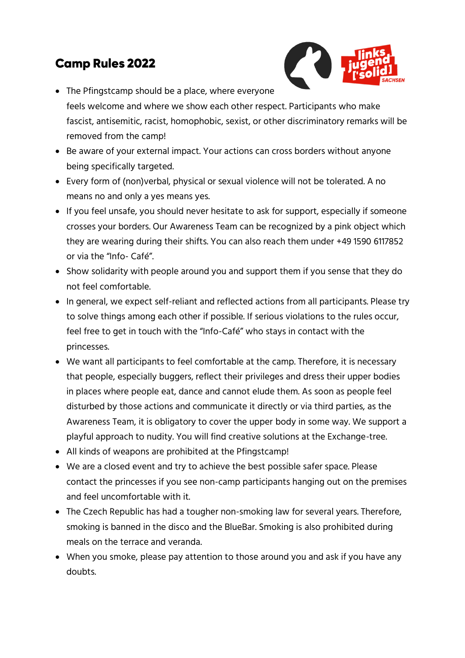## **Camp Rules 2022**



- The Pfingstcamp should be a place, where everyone feels welcome and where we show each other respect. Participants who make fascist, antisemitic, racist, homophobic, sexist, or other discriminatory remarks will be removed from the camp!
- Be aware of your external impact. Your actions can cross borders without anyone being specifically targeted.
- Every form of (non)verbal, physical or sexual violence will not be tolerated. A no means no and only a yes means yes.
- If you feel unsafe, you should never hesitate to ask for support, especially if someone crosses your borders. Our Awareness Team can be recognized by a pink object which they are wearing during their shifts. You can also reach them under +49 1590 6117852 or via the "Info- Café".
- Show solidarity with people around you and support them if you sense that they do not feel comfortable.
- In general, we expect self-reliant and reflected actions from all participants. Please try to solve things among each other if possible. If serious violations to the rules occur, feel free to get in touch with the "Info-Café" who stays in contact with the princesses.
- We want all participants to feel comfortable at the camp. Therefore, it is necessary that people, especially buggers, reflect their privileges and dress their upper bodies in places where people eat, dance and cannot elude them. As soon as people feel disturbed by those actions and communicate it directly or via third parties, as the Awareness Team, it is obligatory to cover the upper body in some way. We support a playful approach to nudity. You will find creative solutions at the Exchange-tree.
- All kinds of weapons are prohibited at the Pfingstcamp!
- We are a closed event and try to achieve the best possible safer space. Please contact the princesses if you see non-camp participants hanging out on the premises and feel uncomfortable with it.
- The Czech Republic has had a tougher non-smoking law for several years. Therefore, smoking is banned in the disco and the BlueBar. Smoking is also prohibited during meals on the terrace and veranda.
- When you smoke, please pay attention to those around you and ask if you have any doubts.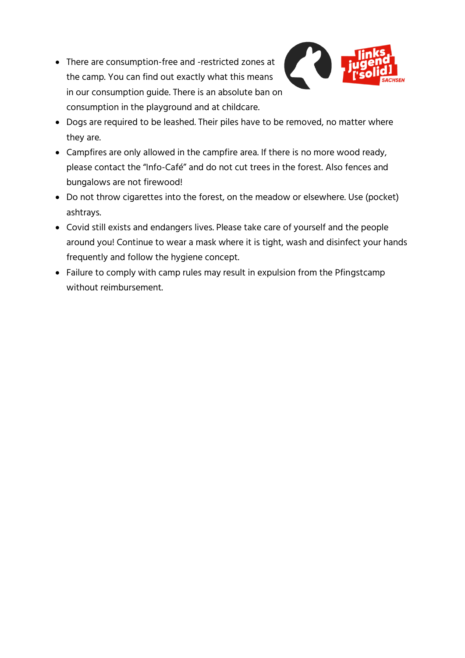• There are consumption-free and -restricted zones at the camp. You can find out exactly what this means in our consumption guide. There is an absolute ban on consumption in the playground and at childcare.



- Dogs are required to be leashed. Their piles have to be removed, no matter where they are.
- Campfires are only allowed in the campfire area. If there is no more wood ready, please contact the "Info-Café" and do not cut trees in the forest. Also fences and bungalows are not firewood!
- Do not throw cigarettes into the forest, on the meadow or elsewhere. Use (pocket) ashtrays.
- Covid still exists and endangers lives. Please take care of yourself and the people around you! Continue to wear a mask where it is tight, wash and disinfect your hands frequently and follow the hygiene concept.
- Failure to comply with camp rules may result in expulsion from the Pfingstcamp without reimbursement.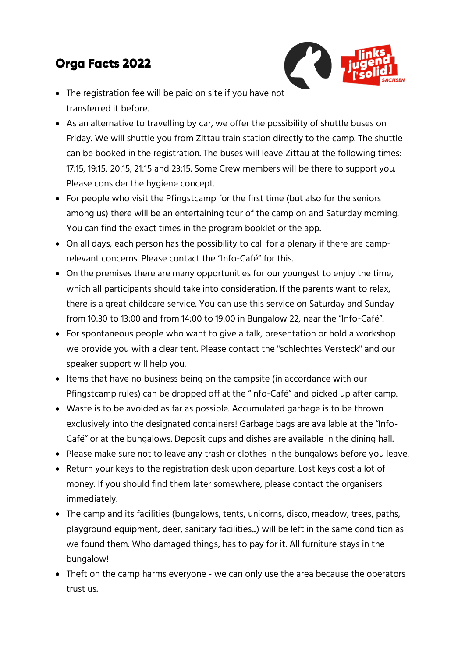## **Orga Facts 2022**

- The registration fee will be paid on site if you have not transferred it before.
- As an alternative to travelling by car, we offer the possibility of shuttle buses on Friday. We will shuttle you from Zittau train station directly to the camp. The shuttle can be booked in the registration. The buses will leave Zittau at the following times: 17:15, 19:15, 20:15, 21:15 and 23:15. Some Crew members will be there to support you. Please consider the hygiene concept.
- For people who visit the Pfingstcamp for the first time (but also for the seniors among us) there will be an entertaining tour of the camp on and Saturday morning. You can find the exact times in the program booklet or the app.
- On all days, each person has the possibility to call for a plenary if there are camprelevant concerns. Please contact the "Info-Café" for this.
- On the premises there are many opportunities for our youngest to enjoy the time, which all participants should take into consideration. If the parents want to relax, there is a great childcare service. You can use this service on Saturday and Sunday from 10:30 to 13:00 and from 14:00 to 19:00 in Bungalow 22, near the "Info-Café".
- For spontaneous people who want to give a talk, presentation or hold a workshop we provide you with a clear tent. Please contact the "schlechtes Versteck" and our speaker support will help you.
- Items that have no business being on the campsite (in accordance with our Pfingstcamp rules) can be dropped off at the "Info-Café" and picked up after camp.
- Waste is to be avoided as far as possible. Accumulated garbage is to be thrown exclusively into the designated containers! Garbage bags are available at the "Info-Café" or at the bungalows. Deposit cups and dishes are available in the dining hall.
- Please make sure not to leave any trash or clothes in the bungalows before you leave.
- Return your keys to the registration desk upon departure. Lost keys cost a lot of money. If you should find them later somewhere, please contact the organisers immediately.
- The camp and its facilities (bungalows, tents, unicorns, disco, meadow, trees, paths, playground equipment, deer, sanitary facilities...) will be left in the same condition as we found them. Who damaged things, has to pay for it. All furniture stays in the bungalow!
- Theft on the camp harms everyone we can only use the area because the operators trust us.